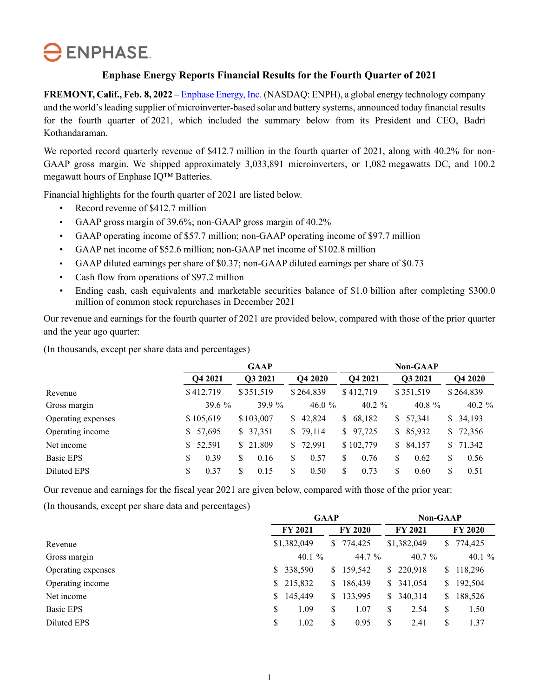# O ENPHASE.

## **Enphase Energy Reports Financial Results for the Fourth Quarter of 2021**

**FREMONT, Calif., Feb. 8, 2022** – [Enphase Energy, Inc.](https://enphase.com/) (NASDAQ: ENPH), a global energy technology company and the world's leading supplier of microinverter-based solar and battery systems, announced today financial results for the fourth quarter of 2021, which included the summary below from its President and CEO, Badri Kothandaraman.

We reported record quarterly revenue of \$412.7 million in the fourth quarter of 2021, along with 40.2% for non-GAAP gross margin. We shipped approximately 3,033,891 microinverters, or 1,082 megawatts DC, and 100.2 megawatt hours of Enphase IQ™ Batteries.

Financial highlights for the fourth quarter of 2021 are listed below.

- Record revenue of \$412.7 million
- GAAP gross margin of 39.6%; non-GAAP gross margin of 40.2%
- GAAP operating income of \$57.7 million; non-GAAP operating income of \$97.7 million
- GAAP net income of \$52.6 million; non-GAAP net income of \$102.8 million
- GAAP diluted earnings per share of \$0.37; non-GAAP diluted earnings per share of \$0.73
- Cash flow from operations of \$97.2 million
- Ending cash, cash equivalents and marketable securities balance of \$1.0 billion after completing \$300.0 million of common stock repurchases in December 2021

Our revenue and earnings for the fourth quarter of 2021 are provided below, compared with those of the prior quarter and the year ago quarter:

(In thousands, except per share data and percentages)

|                    |            | <b>GAAP</b> |              | <b>Non-GAAP</b> |              |              |  |  |  |  |
|--------------------|------------|-------------|--------------|-----------------|--------------|--------------|--|--|--|--|
|                    | Q4 2021    | Q3 2021     | Q4 2020      | Q4 2021         | Q3 2021      | Q4 2020      |  |  |  |  |
| Revenue            | \$412,719  | \$351,519   | \$264,839    | \$412,719       | \$351,519    | \$264,839    |  |  |  |  |
| Gross margin       | 39.6 $%$   | 39.9 $%$    | 46.0 $%$     | 40.2 $%$        | 40.8 $%$     | 40.2 %       |  |  |  |  |
| Operating expenses | \$105,619  | \$103,007   | 42,824<br>S. | \$68,182        | 57,341<br>S. | 34,193<br>S. |  |  |  |  |
| Operating income   | \$57,695   | \$37,351    | \$79,114     | \$97,725        | \$85,932     | \$72,356     |  |  |  |  |
| Net income         | \$52,591   | \$21,809    | 72,991<br>S. | \$102,779       | 84,157<br>S  | 71,342<br>S. |  |  |  |  |
| Basic EPS          | 0.39<br>\$ | \$<br>0.16  | 0.57<br>S    | S<br>0.76       | \$<br>0.62   | 0.56<br>S    |  |  |  |  |
| Diluted EPS        | 0.37<br>\$ | S<br>0.15   | 0.50<br>S    | \$<br>0.73      | \$<br>0.60   | 0.51<br>S    |  |  |  |  |

Our revenue and earnings for the fiscal year 2021 are given below, compared with those of the prior year:

(In thousands, except per share data and percentages)

|                    | <b>GAAP</b>    |             |    |                |    | <b>Non-GAAP</b> |     |                |  |
|--------------------|----------------|-------------|----|----------------|----|-----------------|-----|----------------|--|
|                    | <b>FY 2021</b> |             |    | <b>FY 2020</b> |    | <b>FY 2021</b>  |     | <b>FY 2020</b> |  |
| Revenue            |                | \$1,382,049 |    | \$774,425      |    | \$1,382,049     |     | \$774,425      |  |
| Gross margin       |                | 40.1 $%$    |    | 44.7 %         |    | 40.7 $%$        |     | 40.1 $%$       |  |
| Operating expenses |                | \$ 338,590  |    | \$159,542      | S. | 220,918         | \$. | 118,296        |  |
| Operating income   |                | \$215,832   |    | \$186,439      |    | \$341,054       | S.  | 192,504        |  |
| Net income         |                | \$145,449   |    | \$133,995      | S. | 340,314         | S   | 188,526        |  |
| Basic EPS          | \$             | 1.09        | \$ | 1.07           | \$ | 2.54            | S   | 1.50           |  |
| Diluted EPS        | \$             | 1.02        | \$ | 0.95           | \$ | 2.41            | \$  | 1.37           |  |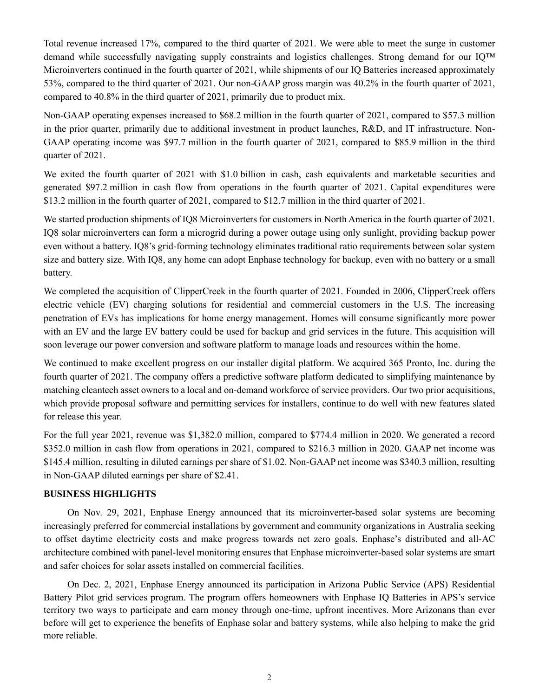Total revenue increased 17%, compared to the third quarter of 2021. We were able to meet the surge in customer demand while successfully navigating supply constraints and logistics challenges. Strong demand for our IQ™ Microinverters continued in the fourth quarter of 2021, while shipments of our IQ Batteries increased approximately 53%, compared to the third quarter of 2021. Our non-GAAP gross margin was 40.2% in the fourth quarter of 2021, compared to 40.8% in the third quarter of 2021, primarily due to product mix.

Non-GAAP operating expenses increased to \$68.2 million in the fourth quarter of 2021, compared to \$57.3 million in the prior quarter, primarily due to additional investment in product launches, R&D, and IT infrastructure. Non-GAAP operating income was \$97.7 million in the fourth quarter of 2021, compared to \$85.9 million in the third quarter of 2021.

We exited the fourth quarter of 2021 with \$1.0 billion in cash, cash equivalents and marketable securities and generated \$97.2 million in cash flow from operations in the fourth quarter of 2021. Capital expenditures were \$13.2 million in the fourth quarter of 2021, compared to \$12.7 million in the third quarter of 2021.

We started production shipments of IQ8 Microinverters for customers in North America in the fourth quarter of 2021. IQ8 solar microinverters can form a microgrid during a power outage using only sunlight, providing backup power even without a battery. IQ8's grid-forming technology eliminates traditional ratio requirements between solar system size and battery size. With IQ8, any home can adopt Enphase technology for backup, even with no battery or a small battery.

We completed the acquisition of ClipperCreek in the fourth quarter of 2021. Founded in 2006, ClipperCreek offers electric vehicle (EV) charging solutions for residential and commercial customers in the U.S. The increasing penetration of EVs has implications for home energy management. Homes will consume significantly more power with an EV and the large EV battery could be used for backup and grid services in the future. This acquisition will soon leverage our power conversion and software platform to manage loads and resources within the home.

We continued to make excellent progress on our installer digital platform. We acquired 365 Pronto, Inc. during the fourth quarter of 2021. The company offers a predictive software platform dedicated to simplifying maintenance by matching cleantech asset owners to a local and on-demand workforce of service providers. Our two prior acquisitions, which provide proposal software and permitting services for installers, continue to do well with new features slated for release this year.

For the full year 2021, revenue was \$1,382.0 million, compared to \$774.4 million in 2020. We generated a record \$352.0 million in cash flow from operations in 2021, compared to \$216.3 million in 2020. GAAP net income was \$145.4 million, resulting in diluted earnings per share of \$1.02. Non-GAAP net income was \$340.3 million, resulting in Non-GAAP diluted earnings per share of \$2.41.

## **BUSINESS HIGHLIGHTS**

On Nov. 29, 2021, Enphase Energy announced that its microinverter-based solar systems are becoming increasingly preferred for commercial installations by government and community organizations in Australia seeking to offset daytime electricity costs and make progress towards net zero goals. Enphase's distributed and all-AC architecture combined with panel-level monitoring ensures that Enphase microinverter-based solar systems are smart and safer choices for solar assets installed on commercial facilities.

On Dec. 2, 2021, Enphase Energy announced its participation in Arizona Public Service (APS) Residential Battery Pilot grid services program. The program offers homeowners with Enphase IQ Batteries in APS's service territory two ways to participate and earn money through one-time, upfront incentives. More Arizonans than ever before will get to experience the benefits of Enphase solar and battery systems, while also helping to make the grid more reliable.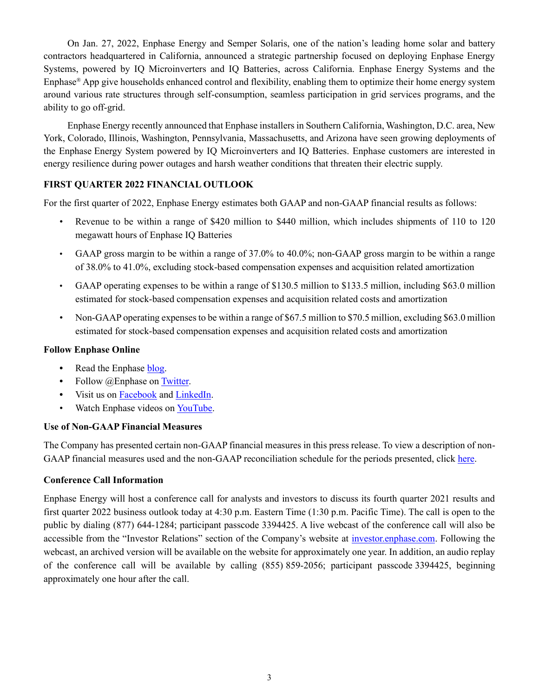On Jan. 27, 2022, Enphase Energy and Semper Solaris, one of the nation's leading home solar and battery contractors headquartered in California, announced a strategic partnership focused on deploying Enphase Energy Systems, powered by IQ Microinverters and IQ Batteries, across California. Enphase Energy Systems and the Enphase® App give households enhanced control and flexibility, enabling them to optimize their home energy system around various rate structures through self-consumption, seamless participation in grid services programs, and the ability to go off-grid.

Enphase Energy recently announced that Enphase installers in Southern California, Washington, D.C. area, New York, Colorado, Illinois, Washington, Pennsylvania, Massachusetts, and Arizona have seen growing deployments of the Enphase Energy System powered by IQ Microinverters and IQ Batteries. Enphase customers are interested in energy resilience during power outages and harsh weather conditions that threaten their electric supply.

## **FIRST QUARTER 2022 FINANCIAL OUTLOOK**

For the first quarter of 2022, Enphase Energy estimates both GAAP and non-GAAP financial results as follows:

- Revenue to be within a range of \$420 million to \$440 million, which includes shipments of 110 to 120 megawatt hours of Enphase IQ Batteries
- GAAP gross margin to be within a range of 37.0% to 40.0%; non-GAAP gross margin to be within a range of 38.0% to 41.0%, excluding stock-based compensation expenses and acquisition related amortization
- GAAP operating expenses to be within a range of \$130.5 million to \$133.5 million, including \$63.0 million estimated for stock-based compensation expenses and acquisition related costs and amortization
- Non-GAAP operating expenses to be within a range of \$67.5 million to \$70.5 million, excluding \$63.0 million estimated for stock-based compensation expenses and acquisition related costs and amortization

### **Follow Enphase Online**

- Read the Enphase [blog.](https://enphase.com/en-us/blog)
- Follow @Enphase on [Twitter.](https://twitter.com/Enphase)
- **•** Visit us on [Facebook](https://www.facebook.com/EnphaseEnergy/) and [LinkedIn.](https://www.linkedin.com/company/enphase-energy/)
- Watch Enphase videos on [YouTube.](https://www.youtube.com/user/EnphaseEnergy)

### **Use of Non-GAAP Financial Measures**

The Company has presented certain non-GAAP financial measures in this press release. To view a description of nonGAAP financial measures used and the non-GAAP reconciliation schedule for the periods presented, click [here.](https://enphaseenergy.gcs-web.com/use-non-gaap-financial-measures)

### **Conference Call Information**

Enphase Energy will host a conference call for analysts and investors to discuss its fourth quarter 2021 results and first quarter 2022 business outlook today at 4:30 p.m. Eastern Time (1:30 p.m. Pacific Time). The call is open to the public by dialing (877) 644-1284; participant passcode 3394425. A live webcast of the conference call will also be accessible from the "Investor Relations" section of the Company's website at [investor.enphase.com.](https://investor.enphase.com/) Following the webcast, an archived version will be available on the website for approximately one year. In addition, an audio replay of the conference call will be available by calling (855) 859-2056; participant passcode 3394425, beginning approximately one hour after the call.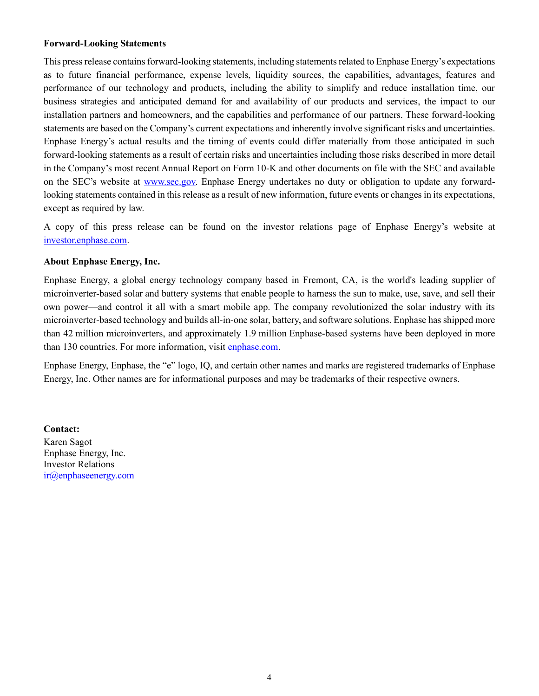### **Forward-Looking Statements**

This press release contains forward-looking statements, including statements related to Enphase Energy's expectations as to future financial performance, expense levels, liquidity sources, the capabilities, advantages, features and performance of our technology and products, including the ability to simplify and reduce installation time, our business strategies and anticipated demand for and availability of our products and services, the impact to our installation partners and homeowners, and the capabilities and performance of our partners. These forward-looking statements are based on the Company's current expectations and inherently involve significant risks and uncertainties. Enphase Energy's actual results and the timing of events could differ materially from those anticipated in such forward-looking statements as a result of certain risks and uncertainties including those risks described in more detail in the Company's most recent Annual Report on Form 10-K and other documents on file with the SEC and available on the SEC's website at [www.sec.gov.](https://www.sec.gov/) Enphase Energy undertakes no duty or obligation to update any forwardlooking statements contained in this release as a result of new information, future events or changes in its expectations, except as required by law.

A copy of this press release can be found on the investor relations page of Enphase Energy's website at [investor.enphase.com.](https://investor.enphase.com/)

### **About Enphase Energy, Inc.**

Enphase Energy, a global energy technology company based in Fremont, CA, is the world's leading supplier of microinverter-based solar and battery systems that enable people to harness the sun to make, use, save, and sell their own power—and control it all with a smart mobile app. The company revolutionized the solar industry with its microinverter-based technology and builds all-in-one solar, battery, and software solutions. Enphase has shipped more than 42 million microinverters, and approximately 1.9 million Enphase-based systems have been deployed in more than 130 countries. For more information, visit [enphase.com.](https://enphase.com/)

Enphase Energy, Enphase, the "e" logo, IQ, and certain other names and marks are registered trademarks of Enphase Energy, Inc. Other names are for informational purposes and may be trademarks of their respective owners.

**Contact:** Karen Sagot Enphase Energy, Inc. Investor Relations [ir@enphaseenergy.com](mailto:ir@enphaseenergy.com)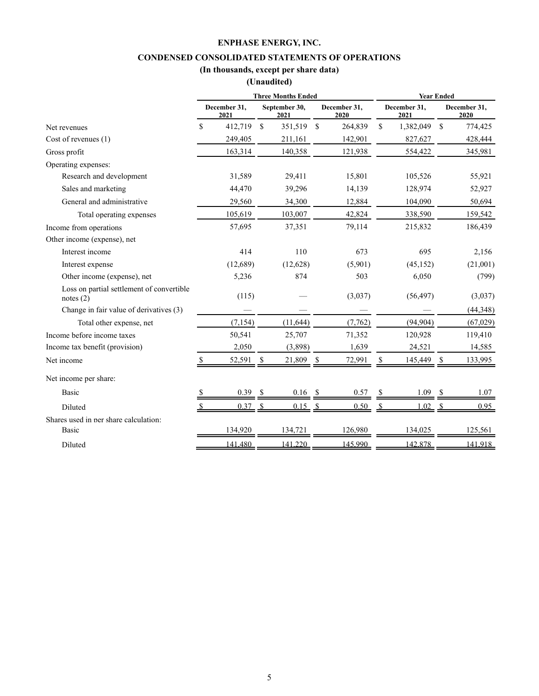#### **ENPHASE ENERGY, INC.**

## **CONDENSED CONSOLIDATED STATEMENTS OF OPERATIONS**

# **(In thousands, except per share data)**

**(Unaudited)**

|                                                          | <b>Three Months Ended</b> |                      |               |                       |               |                      |                      | <b>Year Ended</b> |     |                      |  |  |
|----------------------------------------------------------|---------------------------|----------------------|---------------|-----------------------|---------------|----------------------|----------------------|-------------------|-----|----------------------|--|--|
| Net revenues                                             |                           | December 31,<br>2021 |               | September 30,<br>2021 |               | December 31,<br>2020 | December 31,<br>2021 |                   |     | December 31,<br>2020 |  |  |
|                                                          |                           | 412,719              | \$<br>351,519 |                       | <sup>\$</sup> | 264,839              | \$                   | 1,382,049         | -S  | 774,425              |  |  |
| Cost of revenues $(1)$                                   |                           | 249,405              |               | 211,161               |               | 142,901              |                      | 827,627           |     | 428,444              |  |  |
| Gross profit                                             |                           | 163,314              |               | 140,358               |               | 121,938              |                      | 554,422           |     | 345,981              |  |  |
| Operating expenses:                                      |                           |                      |               |                       |               |                      |                      |                   |     |                      |  |  |
| Research and development                                 |                           | 31,589               |               | 29,411                |               | 15,801               |                      | 105,526           |     | 55,921               |  |  |
| Sales and marketing                                      |                           | 44,470               |               | 39,296                |               | 14,139               |                      | 128,974           |     | 52,927               |  |  |
| General and administrative                               |                           | 29,560               |               | 34,300                |               | 12,884               |                      | 104,090           |     | 50,694               |  |  |
| Total operating expenses                                 |                           | 105,619              |               | 103,007               |               | 42,824               |                      | 338,590           |     | 159,542              |  |  |
| Income from operations                                   |                           | 57,695               |               | 37,351                |               | 79,114               |                      | 215,832           |     | 186,439              |  |  |
| Other income (expense), net                              |                           |                      |               |                       |               |                      |                      |                   |     |                      |  |  |
| Interest income                                          |                           | 414                  |               | 110                   |               | 673                  |                      | 695               |     | 2,156                |  |  |
| Interest expense                                         |                           | (12, 689)            |               | (12,628)              |               | (5,901)              |                      | (45, 152)         |     | (21,001)             |  |  |
| Other income (expense), net                              |                           | 5,236                |               | 874                   |               | 503                  |                      | 6,050             |     | (799)                |  |  |
| Loss on partial settlement of convertible<br>notes $(2)$ |                           | (115)                |               |                       |               | (3,037)              |                      | (56, 497)         |     | (3,037)              |  |  |
| Change in fair value of derivatives (3)                  |                           |                      |               |                       |               |                      |                      |                   |     | (44, 348)            |  |  |
| Total other expense, net                                 |                           | (7, 154)             |               | (11, 644)             |               | (7,762)              |                      | (94, 904)         |     | (67, 029)            |  |  |
| Income before income taxes                               |                           | 50,541               |               | 25,707                |               | 71,352               |                      | 120,928           |     | 119,410              |  |  |
| Income tax benefit (provision)                           |                           | 2,050                |               | (3,898)               |               | 1,639                |                      | 24,521            |     | 14,585               |  |  |
| Net income                                               |                           | 52,591               | - \$          | 21,809                | -\$           | 72,991               | \$                   | 145,449 \$        |     | 133,995              |  |  |
| Net income per share:                                    |                           |                      |               |                       |               |                      |                      |                   |     |                      |  |  |
| Basic                                                    |                           | 0.39                 | - \$          | $0.16$ \$             |               | 0.57                 | S                    | 1.09              | -\$ | 1.07                 |  |  |
| Diluted                                                  |                           | 0.37S                |               | 0.15S                 |               | 0.50                 |                      | 1.02 <sub>5</sub> |     | 0.95                 |  |  |
| Shares used in per share calculation:                    |                           |                      |               |                       |               |                      |                      |                   |     |                      |  |  |
| Basic                                                    |                           | 134.920              |               | 134,721               |               | 126,980              |                      | 134,025           |     | 125,561              |  |  |
| Diluted                                                  |                           | 141.480              |               | 141.220               |               | 145.990              |                      | 142,878           |     | 141.918              |  |  |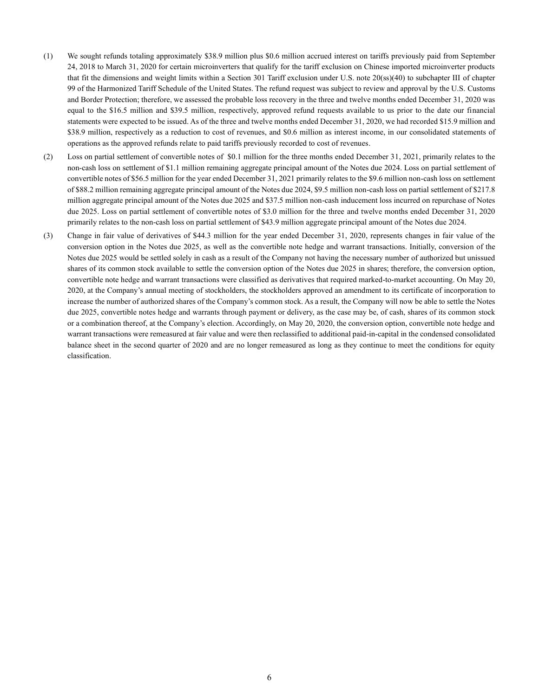- (1) We sought refunds totaling approximately \$38.9 million plus \$0.6 million accrued interest on tariffs previously paid from September 24, 2018 to March 31, 2020 for certain microinverters that qualify for the tariff exclusion on Chinese imported microinverter products that fit the dimensions and weight limits within a Section 301 Tariff exclusion under U.S. note 20(ss)(40) to subchapter III of chapter 99 of the Harmonized Tariff Schedule of the United States. The refund request was subject to review and approval by the U.S. Customs and Border Protection; therefore, we assessed the probable loss recovery in the three and twelve months ended December 31, 2020 was equal to the \$16.5 million and \$39.5 million, respectively, approved refund requests available to us prior to the date our financial statements were expected to be issued. As of the three and twelve months ended December 31, 2020, we had recorded \$15.9 million and \$38.9 million, respectively as a reduction to cost of revenues, and \$0.6 million as interest income, in our consolidated statements of operations as the approved refunds relate to paid tariffs previously recorded to cost of revenues.
- (2) Loss on partial settlement of convertible notes of \$0.1 million for the three months ended December 31, 2021, primarily relates to the non-cash loss on settlement of \$1.1 million remaining aggregate principal amount of the Notes due 2024. Loss on partial settlement of convertible notes of \$56.5 million for the year ended December 31, 2021 primarily relates to the \$9.6 million non-cash loss on settlement of \$88.2 million remaining aggregate principal amount of the Notes due 2024, \$9.5 million non-cash loss on partial settlement of \$217.8 million aggregate principal amount of the Notes due 2025 and \$37.5 million non-cash inducement loss incurred on repurchase of Notes due 2025. Loss on partial settlement of convertible notes of \$3.0 million for the three and twelve months ended December 31, 2020 primarily relates to the non-cash loss on partial settlement of \$43.9 million aggregate principal amount of the Notes due 2024.
- (3) Change in fair value of derivatives of \$44.3 million for the year ended December 31, 2020, represents changes in fair value of the conversion option in the Notes due 2025, as well as the convertible note hedge and warrant transactions. Initially, conversion of the Notes due 2025 would be settled solely in cash as a result of the Company not having the necessary number of authorized but unissued shares of its common stock available to settle the conversion option of the Notes due 2025 in shares; therefore, the conversion option, convertible note hedge and warrant transactions were classified as derivatives that required marked-to-market accounting. On May 20, 2020, at the Company's annual meeting of stockholders, the stockholders approved an amendment to its certificate of incorporation to increase the number of authorized shares of the Company's common stock. As a result, the Company will now be able to settle the Notes due 2025, convertible notes hedge and warrants through payment or delivery, as the case may be, of cash, shares of its common stock or a combination thereof, at the Company's election. Accordingly, on May 20, 2020, the conversion option, convertible note hedge and warrant transactions were remeasured at fair value and were then reclassified to additional paid-in-capital in the condensed consolidated balance sheet in the second quarter of 2020 and are no longer remeasured as long as they continue to meet the conditions for equity classification.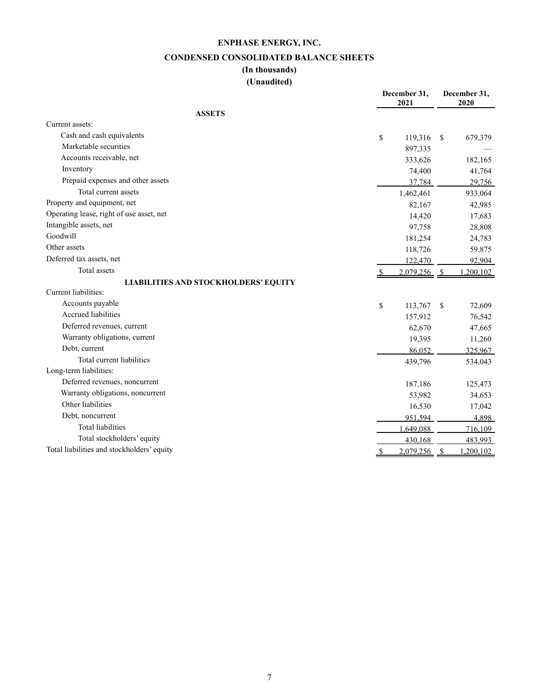# **ENPHASE ENERGY, INC.**

## **CONDENSED CONSOLIDATED BALANCE SHEETS**

# **(In thousands)**

## **(Unaudited)**

|                                             | December 31,<br>2021 |           | December 31,<br>2020 |          |  |
|---------------------------------------------|----------------------|-----------|----------------------|----------|--|
| <b>ASSETS</b>                               |                      |           |                      |          |  |
| Current assets:                             |                      |           |                      |          |  |
| Cash and cash equivalents                   | \$                   | 119.316   | <sup>\$</sup>        | 679,379  |  |
| Marketable securities                       |                      | 897,335   |                      |          |  |
| Accounts receivable, net                    |                      | 333,626   |                      | 182,165  |  |
| Inventory                                   |                      | 74,400    |                      | 41,764   |  |
| Prepaid expenses and other assets           |                      | 37,784    |                      | 29,756   |  |
| Total current assets                        |                      | 1,462,461 |                      | 933,064  |  |
| Property and equipment, net                 |                      | 82,167    |                      | 42,985   |  |
| Operating lease, right of use asset, net    |                      | 14,420    |                      | 17,683   |  |
| Intangible assets, net                      |                      | 97,758    |                      | 28,808   |  |
| Goodwill                                    |                      | 181,254   |                      | 24,783   |  |
| Other assets                                |                      | 118,726   |                      | 59,875   |  |
| Deferred tax assets, net                    |                      | 122,470   |                      | 92,904   |  |
| Total assets                                |                      | 2,079,256 |                      | ,200,102 |  |
| <b>LIABILITIES AND STOCKHOLDERS' EQUITY</b> |                      |           |                      |          |  |
| Current liabilities:                        |                      |           |                      |          |  |
| Accounts payable                            | \$                   | 113,767   | <sup>\$</sup>        | 72,609   |  |
| <b>Accrued liabilities</b>                  |                      | 157.912   |                      | 76,542   |  |
| Deferred revenues, current                  |                      | 62,670    |                      | 47,665   |  |
| Warranty obligations, current               |                      | 19,395    |                      | 11,260   |  |
| Debt, current                               |                      | 86,052    |                      | 325,967  |  |
| Total current liabilities                   |                      | 439,796   |                      | 534,043  |  |
| Long-term liabilities:                      |                      |           |                      |          |  |
| Deferred revenues, noncurrent               |                      | 187,186   |                      | 125,473  |  |
| Warranty obligations, noncurrent            |                      | 53,982    |                      | 34,653   |  |
| Other liabilities                           |                      | 16,530    |                      | 17,042   |  |
| Debt, noncurrent                            |                      | 951.594   |                      | 4,898    |  |
| Total liabilities                           |                      | ,649,088  |                      | 716,109  |  |
| Total stockholders' equity                  |                      | 430,168   |                      | 483,993  |  |
| Total liabilities and stockholders' equity  | <sup>\$</sup>        | 2,079,256 | -S                   | ,200,102 |  |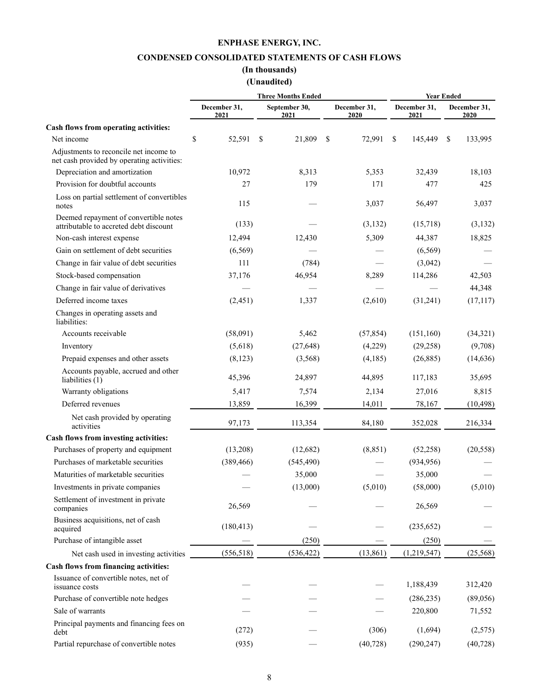### **ENPHASE ENERGY, INC.**

## **CONDENSED CONSOLIDATED STATEMENTS OF CASH FLOWS**

**(In thousands)**

|                                                                                      |                      | (Unaudited)               |                         |                          |                          |  |
|--------------------------------------------------------------------------------------|----------------------|---------------------------|-------------------------|--------------------------|--------------------------|--|
|                                                                                      |                      | <b>Three Months Ended</b> | <b>Year Ended</b>       |                          |                          |  |
|                                                                                      | December 31,<br>2021 | September 30,<br>2021     | December 31,<br>2020    | December 31,<br>2021     | December 31,<br>2020     |  |
| Cash flows from operating activities:                                                |                      |                           |                         |                          |                          |  |
| Net income                                                                           | \$<br>52,591         | <sup>\$</sup><br>21,809   | 72,991<br><sup>\$</sup> | <sup>\$</sup><br>145,449 | <sup>\$</sup><br>133,995 |  |
| Adjustments to reconcile net income to<br>net cash provided by operating activities: |                      |                           |                         |                          |                          |  |
| Depreciation and amortization                                                        | 10,972               | 8,313                     | 5,353                   | 32,439                   | 18,103                   |  |
| Provision for doubtful accounts                                                      | 27                   | 179                       | 171                     | 477                      | 425                      |  |
| Loss on partial settlement of convertibles<br>notes                                  | 115                  |                           | 3,037                   | 56,497                   | 3,037                    |  |
| Deemed repayment of convertible notes<br>attributable to accreted debt discount      | (133)                |                           | (3,132)                 | (15,718)                 | (3,132)                  |  |
| Non-cash interest expense                                                            | 12,494               | 12,430                    | 5,309                   | 44,387                   | 18,825                   |  |
| Gain on settlement of debt securities                                                | (6, 569)             |                           |                         | (6, 569)                 |                          |  |
| Change in fair value of debt securities                                              | 111                  | (784)                     |                         | (3,042)                  |                          |  |
| Stock-based compensation                                                             | 37,176               | 46,954                    | 8,289                   | 114,286                  | 42,503                   |  |
| Change in fair value of derivatives                                                  |                      |                           |                         |                          | 44,348                   |  |
| Deferred income taxes                                                                | (2, 451)             | 1,337                     | (2,610)                 | (31,241)                 | (17, 117)                |  |
| Changes in operating assets and<br>liabilities:                                      |                      |                           |                         |                          |                          |  |
| Accounts receivable                                                                  | (58,091)             | 5,462                     | (57, 854)               | (151, 160)               | (34, 321)                |  |
| Inventory                                                                            | (5,618)              | (27, 648)                 | (4,229)                 | (29, 258)                | (9,708)                  |  |
| Prepaid expenses and other assets                                                    | (8,123)              | (3,568)                   | (4,185)                 | (26, 885)                | (14, 636)                |  |
| Accounts payable, accrued and other<br>liabilities $(1)$                             | 45,396               | 24,897                    | 44,895                  | 117,183                  | 35,695                   |  |
| Warranty obligations                                                                 | 5,417                | 7,574                     | 2,134                   | 27,016                   | 8,815                    |  |
| Deferred revenues                                                                    | 13,859               | 16,399                    | 14,011                  | 78,167                   | (10, 498)                |  |
| Net cash provided by operating<br>activities                                         | 97,173               | 113,354                   | 84,180                  | 352,028                  | 216,334                  |  |
| Cash flows from investing activities:                                                |                      |                           |                         |                          |                          |  |
| Purchases of property and equipment                                                  | (13,208)             | (12,682)                  | (8, 851)                | (52,258)                 | (20, 558)                |  |
| Purchases of marketable securities                                                   | (389, 466)           | (545, 490)                |                         | (934, 956)               |                          |  |
| Maturities of marketable securities                                                  |                      | 35,000                    |                         | 35,000                   |                          |  |
| Investments in private companies                                                     |                      | (13,000)                  | (5,010)                 | (58,000)                 | (5,010)                  |  |
| Settlement of investment in private<br>companies                                     | 26,569               |                           |                         | 26,569                   |                          |  |
| Business acquisitions, net of cash<br>acquired                                       | (180, 413)           |                           |                         | (235, 652)               |                          |  |
| Purchase of intangible asset                                                         |                      | (250)                     |                         | (250)                    |                          |  |
| Net cash used in investing activities                                                | (556, 518)           | (536, 422)                | (13, 861)               | (1,219,547)              | (25,568)                 |  |
| Cash flows from financing activities:                                                |                      |                           |                         |                          |                          |  |
| Issuance of convertible notes, net of<br>issuance costs                              |                      |                           |                         | 1,188,439                | 312,420                  |  |
| Purchase of convertible note hedges                                                  |                      |                           |                         | (286, 235)               | (89,056)                 |  |
| Sale of warrants                                                                     |                      |                           |                         | 220,800                  | 71,552                   |  |
| Principal payments and financing fees on<br>debt                                     | (272)                |                           | (306)                   | (1,694)                  | (2,575)                  |  |
| Partial repurchase of convertible notes                                              | (935)                |                           | (40, 728)               | (290, 247)               | (40, 728)                |  |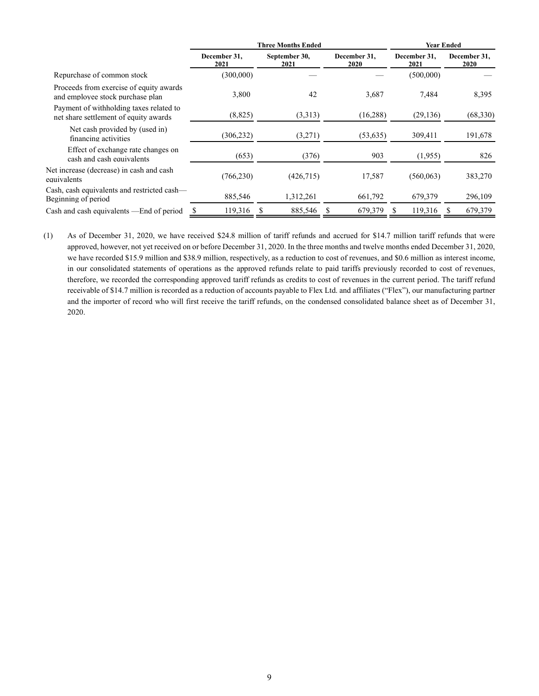|                                                                                  |                      | <b>Three Months Ended</b> | <b>Year Ended</b>    |                      |                             |  |  |
|----------------------------------------------------------------------------------|----------------------|---------------------------|----------------------|----------------------|-----------------------------|--|--|
|                                                                                  | December 31,<br>2021 | September 30,<br>2021     | December 31.<br>2020 | December 31.<br>2021 | December 31,<br><b>2020</b> |  |  |
| Repurchase of common stock                                                       | (300,000)            |                           |                      | (500,000)            |                             |  |  |
| Proceeds from exercise of equity awards<br>and employee stock purchase plan      | 3,800                | 42                        | 3,687                | 7,484                | 8,395                       |  |  |
| Payment of withholding taxes related to<br>net share settlement of equity awards | (8,825)              | (3,313)                   | (16, 288)            | (29, 136)            | (68, 330)                   |  |  |
| Net cash provided by (used in)<br>financing activities                           | (306, 232)           | (3,271)                   | (53, 635)            | 309,411              | 191,678                     |  |  |
| Effect of exchange rate changes on<br>cash and cash equivalents                  | (653)                | (376)                     | 903                  | (1,955)              | 826                         |  |  |
| Net increase (decrease) in cash and cash<br>equivalents                          | (766, 230)           | (426,715)                 | 17,587               | (560, 063)           | 383,270                     |  |  |
| Cash, cash equivalents and restricted cash-<br>Beginning of period               | 885,546              | 1,312,261                 | 661,792              | 679,379              | 296,109                     |  |  |
| Cash and cash equivalents — End of period                                        | 119,316              | 885,546                   | 679,379              | 119,316              | 679,379                     |  |  |

(1) As of December 31, 2020, we have received \$24.8 million of tariff refunds and accrued for \$14.7 million tariff refunds that were approved, however, not yet received on or before December 31, 2020. In the three months and twelve months ended December 31, 2020, we have recorded \$15.9 million and \$38.9 million, respectively, as a reduction to cost of revenues, and \$0.6 million as interest income, in our consolidated statements of operations as the approved refunds relate to paid tariffs previously recorded to cost of revenues, therefore, we recorded the corresponding approved tariff refunds as credits to cost of revenues in the current period. The tariff refund receivable of \$14.7 million is recorded as a reduction of accounts payable to Flex Ltd. and affiliates ("Flex"), our manufacturing partner and the importer of record who will first receive the tariff refunds, on the condensed consolidated balance sheet as of December 31, 2020.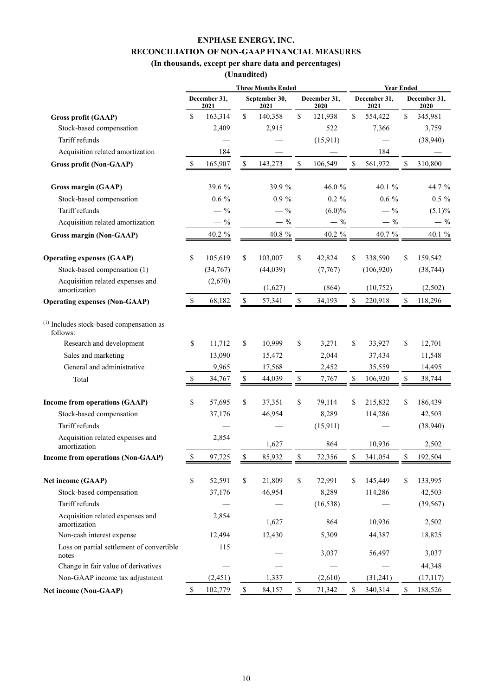# **ENPHASE ENERGY, INC. RECONCILIATION OF NON-GAAP FINANCIAL MEASURES**

## **(In thousands, except per share data and percentages)**

**(Unaudited)**

|                                                                 | <b>Three Months Ended</b> |                      |              | <b>Year Ended</b>     |              |                      |             |                      |    |                      |
|-----------------------------------------------------------------|---------------------------|----------------------|--------------|-----------------------|--------------|----------------------|-------------|----------------------|----|----------------------|
|                                                                 |                           | December 31,<br>2021 |              | September 30,<br>2021 |              | December 31,<br>2020 |             | December 31,<br>2021 |    | December 31,<br>2020 |
| <b>Gross profit (GAAP)</b>                                      | \$                        | 163,314              | \$           | 140,358               | \$           | 121,938              | \$          | 554,422              | \$ | 345,981              |
| Stock-based compensation                                        |                           | 2,409                |              | 2,915                 |              | 522                  |             | 7,366                |    | 3,759                |
| Tariff refunds                                                  |                           |                      |              |                       |              | (15, 911)            |             |                      |    | (38,940)             |
| Acquisition related amortization                                |                           | 184                  |              |                       |              |                      |             | 184                  |    |                      |
| <b>Gross profit (Non-GAAP)</b>                                  | -\$                       | 165,907              | \$           | 143,273               | \$           | 106,549              |             | 561,972              |    | 310,800              |
| Gross margin (GAAP)                                             |                           | 39.6 %               |              | 39.9 %                |              | 46.0 %               |             | 40.1 %               |    | 44.7 %               |
| Stock-based compensation                                        |                           | $0.6\%$              |              | $0.9\%$               |              | $0.2 \%$             |             | $0.6\%$              |    | $0.5\%$              |
| Tariff refunds                                                  |                           | $-$ %                |              | $-$ %                 |              | $(6.0)\%$            |             | $-$ %                |    | $(5.1)\%$            |
| Acquisition related amortization                                |                           | $-$ %                |              | $-$ %                 |              | $-$ %                |             | $-$ %                |    | $-$ %                |
| Gross margin (Non-GAAP)                                         |                           | 40.2 %               |              | 40.8 %                |              | 40.2 %               |             | 40.7 %               |    | 40.1 %               |
| <b>Operating expenses (GAAP)</b>                                | \$                        | 105,619              | \$           | 103,007               | \$           | 42,824               | \$          | 338,590              | \$ | 159,542              |
| Stock-based compensation (1)                                    |                           | (34, 767)            |              | (44, 039)             |              | (7, 767)             |             | (106, 920)           |    | (38, 744)            |
| Acquisition related expenses and<br>amortization                |                           | (2,670)              |              | (1,627)               |              | (864)                |             | (10,752)             |    | (2,502)              |
| <b>Operating expenses (Non-GAAP)</b>                            | S                         | 68,182               | S.           | 57,341                | \$           | 34,193               | \$          | 220,918              | \$ | 118,296              |
| <sup>(1)</sup> Includes stock-based compensation as<br>follows: |                           |                      |              |                       |              |                      |             |                      |    |                      |
| Research and development                                        | \$                        | 11,712               | \$           | 10,999                | \$           | 3,271                | \$          | 33,927               | \$ | 12,701               |
| Sales and marketing                                             |                           | 13,090               |              | 15,472                |              | 2,044                |             | 37,434               |    | 11,548               |
| General and administrative                                      |                           | 9,965                |              | 17,568                |              | 2,452                |             | 35,559               |    | 14,495               |
| Total                                                           | S                         | 34,767               |              | 44,039                |              | 7,767                |             | 106,920              | \$ | 38,744               |
| <b>Income from operations (GAAP)</b>                            | \$                        | 57,695               | \$           | 37,351                | \$           | 79,114               | \$          | 215,832              | \$ | 186,439              |
| Stock-based compensation                                        |                           | 37,176               |              | 46,954                |              | 8,289                |             | 114,286              |    | 42,503               |
| Tariff refunds                                                  |                           |                      |              |                       |              | (15, 911)            |             |                      |    | (38,940)             |
| Acquisition related expenses and<br>amortization                |                           | 2,854                |              | 1,627                 |              | 864                  |             | 10,936               |    | 2,502                |
| <b>Income from operations (Non-GAAP)</b>                        |                           | 97,725               |              | 85,932                |              | 72,356               | \$          | 341,054              | \$ | 192,504              |
| Net income (GAAP)                                               | \$                        | 52,591               | \$           | 21,809                | \$           | 72,991               | \$          | 145,449              | \$ | 133,995              |
| Stock-based compensation                                        |                           | 37,176               |              | 46,954                |              | 8,289                |             | 114,286              |    | 42,503               |
| Tariff refunds                                                  |                           |                      |              |                       |              | (16, 538)            |             |                      |    | (39, 567)            |
| Acquisition related expenses and<br>amortization                |                           | 2,854                |              | 1,627                 |              | 864                  |             | 10,936               |    | 2,502                |
| Non-cash interest expense                                       |                           | 12,494               |              | 12,430                |              | 5,309                |             | 44,387               |    | 18,825               |
| Loss on partial settlement of convertible<br>notes              |                           | 115                  |              |                       |              | 3,037                |             | 56,497               |    | 3,037                |
| Change in fair value of derivatives                             |                           |                      |              |                       |              |                      |             |                      |    | 44,348               |
| Non-GAAP income tax adjustment                                  |                           | (2, 451)             |              | 1,337                 |              | (2,610)              |             | (31,241)             |    | (17, 117)            |
| Net income (Non-GAAP)                                           | \$                        | 102,779              | $\mathbb{S}$ | 84,157                | $\mathbb{S}$ | 71,342               | $\mathbb S$ | 340,314              | \$ | 188,526              |